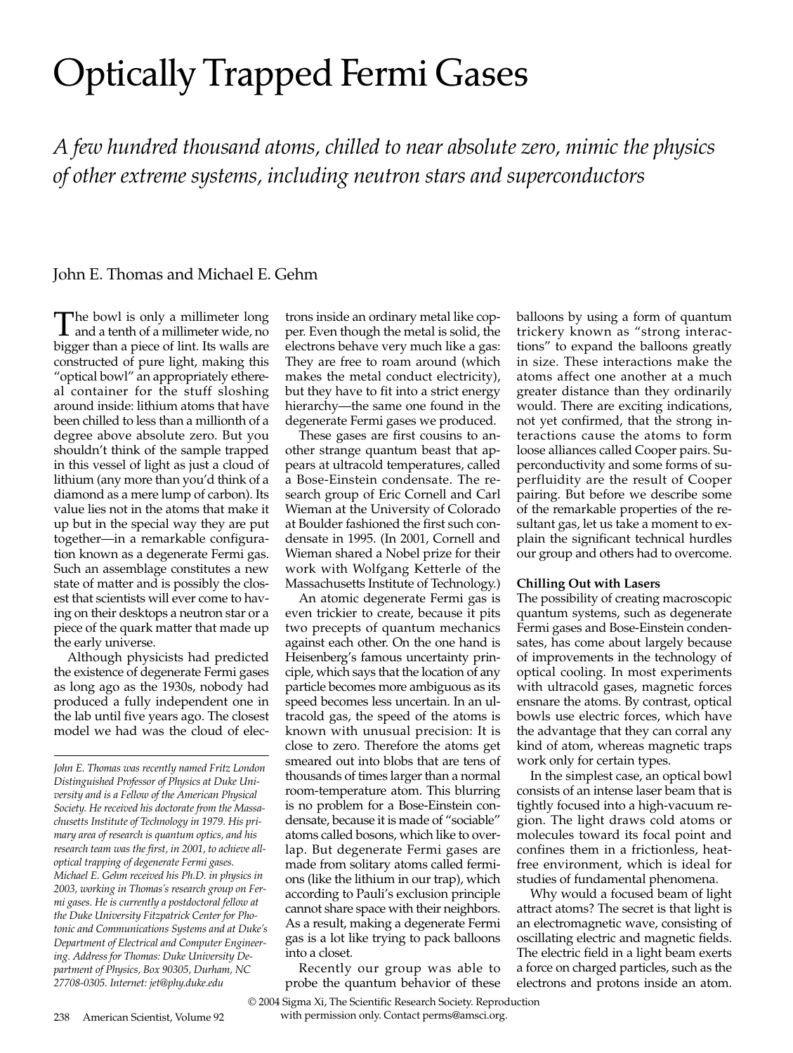# Optically Trapped Fermi Gases

*A few hundred thousand atoms, chilled to near absolute zero, mimic the physics of other extreme systems, including neutron stars and superconductors*

# John E. Thomas and Michael E. Gehm

The bowl is only a millimeter long<br>and a tenth of a millimeter wide, no<br>his sex there a rises a flint. Its wells and bigger than a piece of lint. Its walls are constructed of pure light, making this "optical bowl" an appropriately ethereal container for the stuff sloshing around inside: lithium atoms that have been chilled to less than a millionth of a degree above absolute zero. But you shouldn't think of the sample trapped in this vessel of light as just a cloud of lithium (any more than you'd think of a diamond as a mere lump of carbon). Its value lies not in the atoms that make it up but in the special way they are put together—in a remarkable configuration known as a degenerate Fermi gas. Such an assemblage constitutes a new state of matter and is possibly the closest that scientists will ever come to having on their desktops a neutron star or a piece of the quark matter that made up the early universe.

Although physicists had predicted the existence of degenerate Fermi gases as long ago as the 1930s, nobody had produced a fully independent one in the lab until five years ago. The closest model we had was the cloud of elec-

*John E. Thomas was recently named Fritz London Distinguished Professor of Physics at Duke University and is a Fellow of the American Physical Society. He received his doctorate from the Massachusetts Institute of Technology in 1979. His primary area of research is quantum optics, and his research team was the first, in 2001, to achieve alloptical trapping of degenerate Fermi gases. Michael E. Gehm received his Ph.D. in physics in 2003, working in Thomas's research group on Fermi gases. He is currently a postdoctoral fellow at the Duke University Fitzpatrick Center for Photonic and Communications Systems and at Duke's Department of Electrical and Computer Engineering. Address for Thomas: Duke University Department of Physics, Box 90305, Durham, NC 27708-0305. Internet: jet@phy.duke.edu*

trons inside an ordinary metal like copper. Even though the metal is solid, the electrons behave very much like a gas: They are free to roam around (which makes the metal conduct electricity), but they have to fit into a strict energy hierarchy—the same one found in the degenerate Fermi gases we produced.

These gases are first cousins to another strange quantum beast that appears at ultracold temperatures, called a Bose-Einstein condensate. The research group of Eric Cornell and Carl Wieman at the University of Colorado at Boulder fashioned the first such condensate in 1995. (In 2001, Cornell and Wieman shared a Nobel prize for their work with Wolfgang Ketterle of the Massachusetts Institute of Technology.)

An atomic degenerate Fermi gas is even trickier to create, because it pits two precepts of quantum mechanics against each other. On the one hand is Heisenberg's famous uncertainty principle, which says that the location of any particle becomes more ambiguous as its speed becomes less uncertain. In an ultracold gas, the speed of the atoms is known with unusual precision: It is close to zero. Therefore the atoms get smeared out into blobs that are tens of thousands of times larger than a normal room-temperature atom. This blurring is no problem for a Bose-Einstein condensate, because it is made of "sociable" atoms called bosons, which like to overlap. But degenerate Fermi gases are made from solitary atoms called fermions (like the lithium in our trap), which according to Pauli's exclusion principle cannot share space with their neighbors. As a result, making a degenerate Fermi gas is a lot like trying to pack balloons into a closet.

Recently our group was able to probe the quantum behavior of these

© 2004 Sigma Xi, The Scientific Research Society. Reproduction

balloons by using a form of quantum trickery known as "strong interactions" to expand the balloons greatly in size. These interactions make the atoms affect one another at a much greater distance than they ordinarily would. There are exciting indications, not yet confirmed, that the strong interactions cause the atoms to form loose alliances called Cooper pairs. Superconductivity and some forms of superfluidity are the result of Cooper pairing. But before we describe some of the remarkable properties of the resultant gas, let us take a moment to explain the significant technical hurdles our group and others had to overcome.

## **Chilling Out with Lasers**

The possibility of creating macroscopic quantum systems, such as degenerate Fermi gases and Bose-Einstein condensates, has come about largely because of improvements in the technology of optical cooling. In most experiments with ultracold gases, magnetic forces ensnare the atoms. By contrast, optical bowls use electric forces, which have the advantage that they can corral any kind of atom, whereas magnetic traps work only for certain types.

In the simplest case, an optical bowl consists of an intense laser beam that is tightly focused into a high-vacuum region. The light draws cold atoms or molecules toward its focal point and confines them in a frictionless, heatfree environment, which is ideal for studies of fundamental phenomena.

Why would a focused beam of light attract atoms? The secret is that light is an electromagnetic wave, consisting of oscillating electric and magnetic fields. The electric field in a light beam exerts a force on charged particles, such as the electrons and protons inside an atom.

with permission only. Contact perms@amsci.org.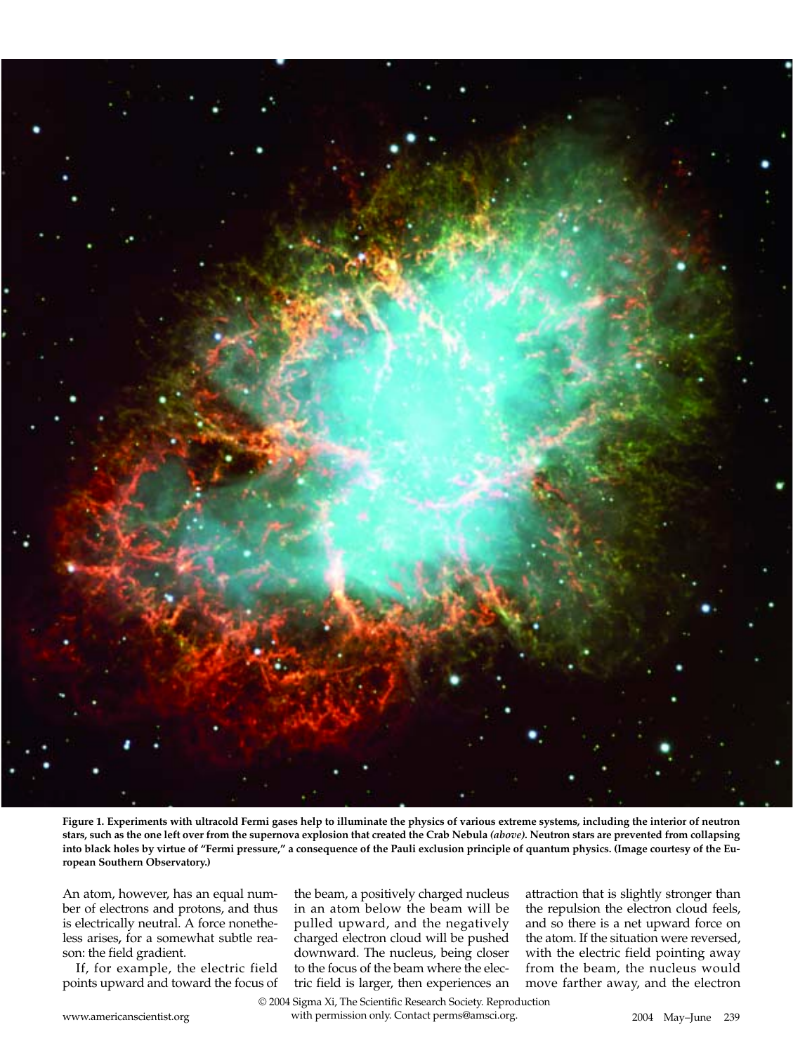

**Figure 1. Experiments with ultracold Fermi gases help to illuminate the physics of various extreme systems, including the interior of neutron stars, such as the one left over from the supernova explosion that created the Crab Nebula** *(above)***. Neutron stars are prevented from collapsing into black holes by virtue of "Fermi pressure," a consequence of the Pauli exclusion principle of quantum physics. (Image courtesy of the European Southern Observatory.)**

An atom, however, has an equal number of electrons and protons, and thus is electrically neutral. A force nonetheless arises**,** for a somewhat subtle reason: the field gradient.

If, for example, the electric field points upward and toward the focus of the beam, a positively charged nucleus in an atom below the beam will be pulled upward, and the negatively charged electron cloud will be pushed downward. The nucleus, being closer to the focus of the beam where the electric field is larger, then experiences an attraction that is slightly stronger than the repulsion the electron cloud feels, and so there is a net upward force on the atom. If the situation were reversed, with the electric field pointing away from the beam, the nucleus would move farther away, and the electron

www.americanscientist.org 2004 May–June 239 with permission only. Contact perms@amsci.org. © 2004 Sigma Xi, The Scientific Research Society. Reproduction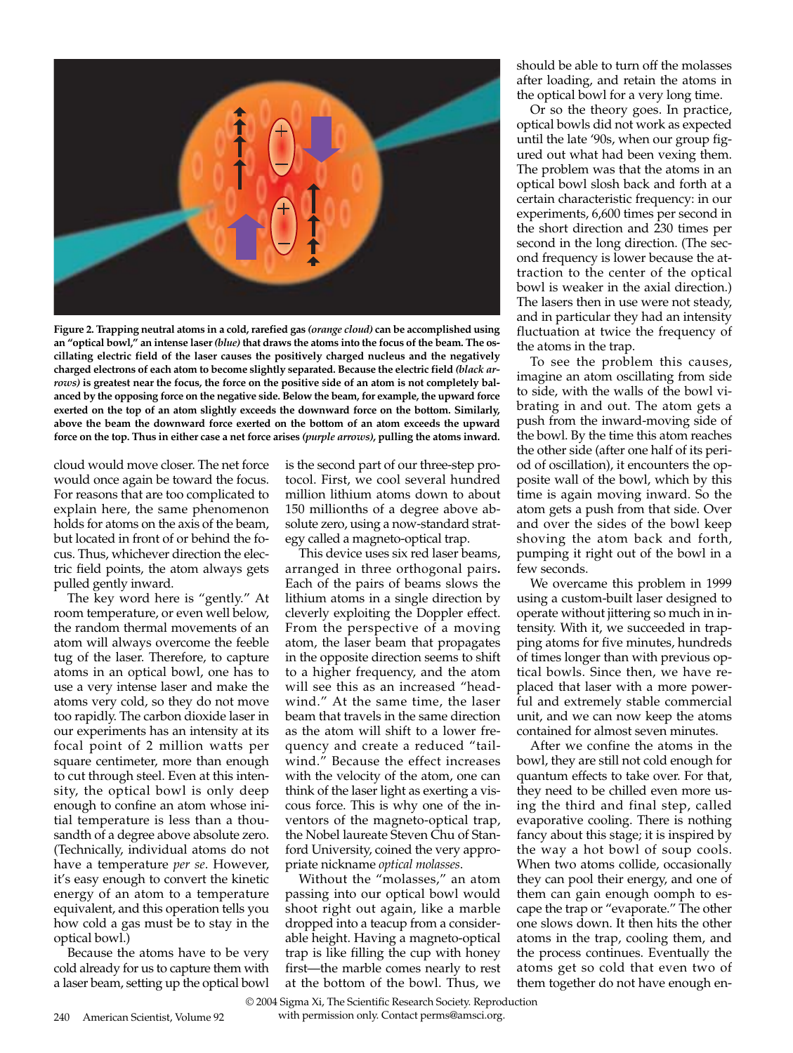

**Figure 2. Trapping neutral atoms in a cold, rarefied gas** *(orange cloud)* **can be accomplished using an "optical bowl," an intense laser** *(blue)* **that draws the atoms into the focus of the beam. The oscillating electric field of the laser causes the positively charged nucleus and the negatively charged electrons of each atom to become slightly separated. Because the electric field** *(black arrows)* **is greatest near the focus, the force on the positive side of an atom is not completely balanced by the opposing force on the negative side. Below the beam, for example, the upward force exerted on the top of an atom slightly exceeds the downward force on the bottom. Similarly, above the beam the downward force exerted on the bottom of an atom exceeds the upward force on the top. Thus in either case a net force arises** *(purple arrows)***, pulling the atoms inward.**

cloud would move closer. The net force would once again be toward the focus. For reasons that are too complicated to explain here, the same phenomenon holds for atoms on the axis of the beam, but located in front of or behind the focus. Thus, whichever direction the electric field points, the atom always gets pulled gently inward.

The key word here is "gently." At room temperature, or even well below, the random thermal movements of an atom will always overcome the feeble tug of the laser. Therefore, to capture atoms in an optical bowl, one has to use a very intense laser and make the atoms very cold, so they do not move too rapidly. The carbon dioxide laser in our experiments has an intensity at its focal point of 2 million watts per square centimeter, more than enough to cut through steel. Even at this intensity, the optical bowl is only deep enough to confine an atom whose initial temperature is less than a thousandth of a degree above absolute zero. (Technically, individual atoms do not have a temperature *per se*. However, it's easy enough to convert the kinetic energy of an atom to a temperature equivalent, and this operation tells you how cold a gas must be to stay in the optical bowl.)

Because the atoms have to be very cold already for us to capture them with a laser beam, setting up the optical bowl is the second part of our three-step protocol. First, we cool several hundred million lithium atoms down to about 150 millionths of a degree above absolute zero, using a now-standard strategy called a magneto-optical trap.

This device uses six red laser beams, arranged in three orthogonal pairs**.** Each of the pairs of beams slows the lithium atoms in a single direction by cleverly exploiting the Doppler effect. From the perspective of a moving atom, the laser beam that propagates in the opposite direction seems to shift to a higher frequency, and the atom will see this as an increased "headwind." At the same time, the laser beam that travels in the same direction as the atom will shift to a lower frequency and create a reduced "tailwind." Because the effect increases with the velocity of the atom, one can think of the laser light as exerting a viscous force. This is why one of the inventors of the magneto-optical trap, the Nobel laureate Steven Chu of Stanford University, coined the very appropriate nickname *optical molasses*.

Without the "molasses," an atom passing into our optical bowl would shoot right out again, like a marble dropped into a teacup from a considerable height. Having a magneto-optical trap is like filling the cup with honey first—the marble comes nearly to rest at the bottom of the bowl. Thus, we

should be able to turn off the molasses after loading, and retain the atoms in the optical bowl for a very long time.

Or so the theory goes. In practice, optical bowls did not work as expected until the late '90s, when our group figured out what had been vexing them. The problem was that the atoms in an optical bowl slosh back and forth at a certain characteristic frequency: in our experiments, 6,600 times per second in the short direction and 230 times per second in the long direction. (The second frequency is lower because the attraction to the center of the optical bowl is weaker in the axial direction.) The lasers then in use were not steady, and in particular they had an intensity fluctuation at twice the frequency of the atoms in the trap.

To see the problem this causes, imagine an atom oscillating from side to side, with the walls of the bowl vibrating in and out. The atom gets a push from the inward-moving side of the bowl. By the time this atom reaches the other side (after one half of its period of oscillation), it encounters the opposite wall of the bowl, which by this time is again moving inward. So the atom gets a push from that side. Over and over the sides of the bowl keep shoving the atom back and forth, pumping it right out of the bowl in a few seconds.

We overcame this problem in 1999 using a custom-built laser designed to operate without jittering so much in intensity. With it, we succeeded in trapping atoms for five minutes, hundreds of times longer than with previous optical bowls. Since then, we have replaced that laser with a more powerful and extremely stable commercial unit, and we can now keep the atoms contained for almost seven minutes.

After we confine the atoms in the bowl, they are still not cold enough for quantum effects to take over. For that, they need to be chilled even more using the third and final step, called evaporative cooling. There is nothing fancy about this stage; it is inspired by the way a hot bowl of soup cools. When two atoms collide, occasionally they can pool their energy, and one of them can gain enough oomph to escape the trap or "evaporate." The other one slows down. It then hits the other atoms in the trap, cooling them, and the process continues. Eventually the atoms get so cold that even two of them together do not have enough en-

© 2004 Sigma Xi, The Scientific Research Society. Reproduction with permission only. Contact perms@amsci.org.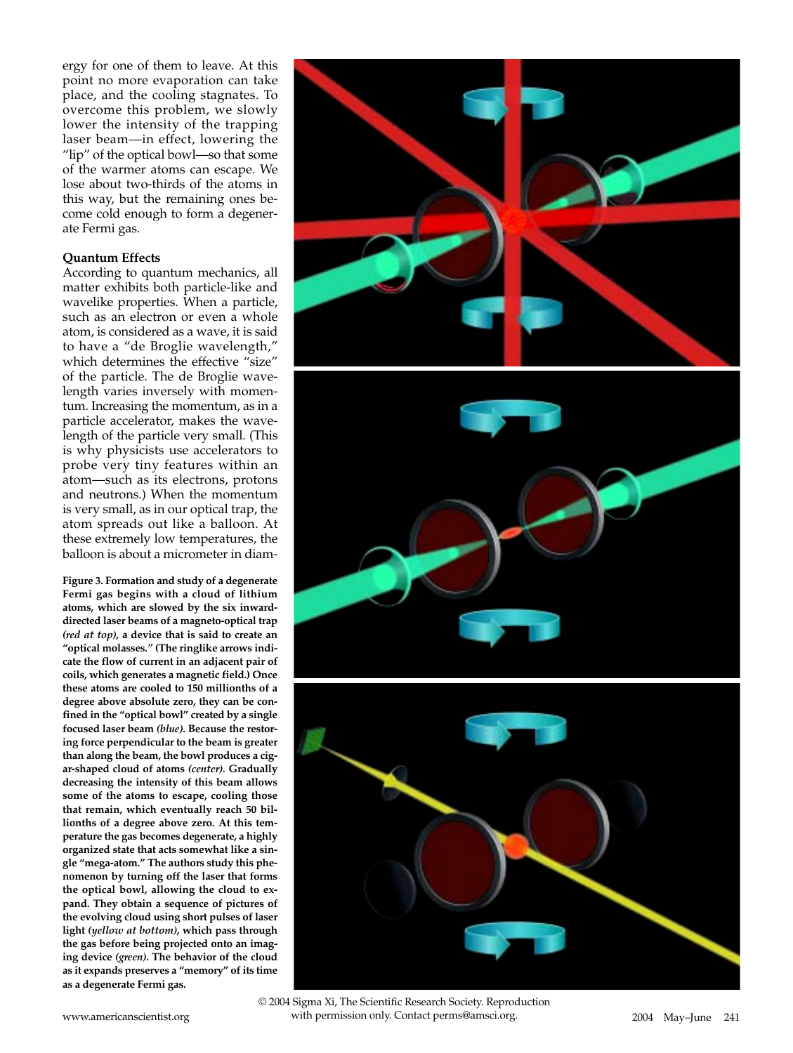ergy for one of them to leave. At this point no more evaporation can take place, and the cooling stagnates. To overcome this problem, we slowly lower the intensity of the trapping laser beam—in effect, lowering the "lip" of the optical bowl—so that some of the warmer atoms can escape. We lose about two-thirds of the atoms in this way, but the remaining ones become cold enough to form a degenerate Fermi gas.

## **Quantum Effects**

According to quantum mechanics, all matter exhibits both particle-like and wavelike properties. When a particle, such as an electron or even a whole atom, is considered as a wave, it is said to have a "de Broglie wavelength," which determines the effective "size" of the particle. The de Broglie wavelength varies inversely with momentum. Increasing the momentum, as in a particle accelerator, makes the wavelength of the particle very small. (This is why physicists use accelerators to probe very tiny features within an atom—such as its electrons, protons and neutrons.) When the momentum is very small, as in our optical trap, the atom spreads out like a balloon. At these extremely low temperatures, the balloon is about a micrometer in diam-

**Figure 3. Formation and study of a degenerate Fermi gas begins with a cloud of lithium atoms, which are slowed by the six inwarddirected laser beams of a magneto-optical trap** *(red at top)***, a device that is said to create an "optical molasses***."* **(The ringlike arrows indicate the flow of current in an adjacent pair of coils, which generates a magnetic field.) Once these atoms are cooled to 150 millionths of a degree above absolute zero, they can be confined in the "optical bowl" created by a single focused laser beam** *(blue)***. Because the restoring force perpendicular to the beam is greater than along the beam, the bowl produces a cigar-shaped cloud of atoms** *(center).* **Gradually decreasing the intensity of this beam allows some of the atoms to escape, cooling those that remain, which eventually reach 50 billionths of a degree above zero. At this temperature the gas becomes degenerate, a highly organized state that acts somewhat like a single "mega-atom." The authors study this phenomenon by turning off the laser that forms the optical bowl, allowing the cloud to expand. They obtain a sequence of pictures of the evolving cloud using short pulses of laser light** *(yellow at bottom)***, which pass through the gas before being projected onto an imaging device** *(green)***. The behavior of the cloud as it expands preserves a "memory" of its time as a degenerate Fermi gas.**



www.americanscientist.org 2004 May–June 241 with permission only. Contact perms@amsci.org. © 2004 Sigma Xi, The Scientific Research Society. Reproduction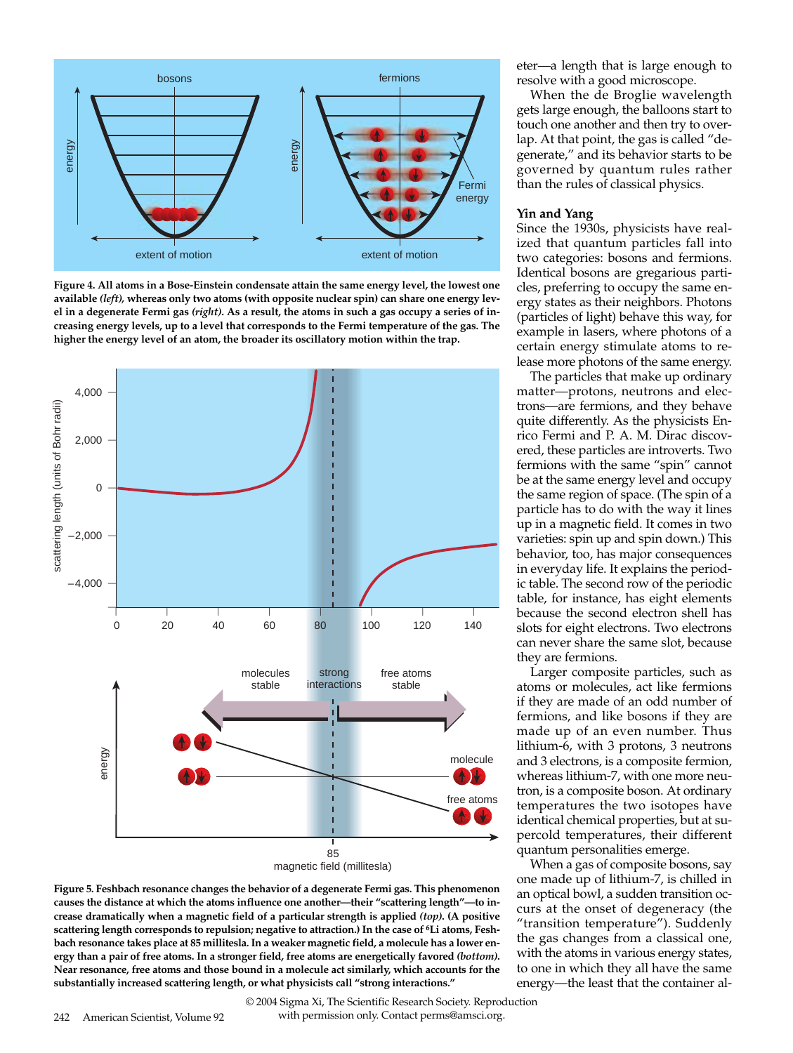

**Figure 4. All atoms in a Bose-Einstein condensate attain the same energy level, the lowest one available** *(left),* **whereas only two atoms (with opposite nuclear spin) can share one energy level in a degenerate Fermi gas** *(right)***. As a result, the atoms in such a gas occupy a series of increasing energy levels, up to a level that corresponds to the Fermi temperature of the gas. The higher the energy level of an atom, the broader its oscillatory motion within the trap.**



**Figure 5. Feshbach resonance changes the behavior of a degenerate Fermi gas. This phenomenon causes the distance at which the atoms influence one another—their "scattering length"—to increase dramatically when a magnetic field of a particular strength is applied** *(top)***. (A positive** scattering length corresponds to repulsion; negative to attraction.) In the case of <sup>6</sup>Li atoms, Fesh**bach resonance takes place at 85 millitesla. In a weaker magnetic field, a molecule has a lower energy than a pair of free atoms. In a stronger field, free atoms are energetically favored** *(bottom)***. Near resonance, free atoms and those bound in a molecule act similarly, which accounts for the**

eter—a length that is large enough to resolve with a good microscope.

When the de Broglie wavelength gets large enough, the balloons start to touch one another and then try to overlap. At that point, the gas is called "degenerate," and its behavior starts to be governed by quantum rules rather than the rules of classical physics.

#### **Yin and Yang**

Since the 1930s, physicists have realized that quantum particles fall into two categories: bosons and fermions. Identical bosons are gregarious particles, preferring to occupy the same energy states as their neighbors. Photons (particles of light) behave this way, for example in lasers, where photons of a certain energy stimulate atoms to release more photons of the same energy.

The particles that make up ordinary matter—protons, neutrons and electrons—are fermions, and they behave quite differently. As the physicists Enrico Fermi and P. A. M. Dirac discovered, these particles are introverts. Two fermions with the same "spin" cannot be at the same energy level and occupy the same region of space. (The spin of a particle has to do with the way it lines up in a magnetic field. It comes in two varieties: spin up and spin down.) This behavior, too, has major consequences in everyday life. It explains the periodic table. The second row of the periodic table, for instance, has eight elements because the second electron shell has slots for eight electrons. Two electrons can never share the same slot, because they are fermions.

Larger composite particles, such as atoms or molecules, act like fermions if they are made of an odd number of fermions, and like bosons if they are made up of an even number. Thus lithium-6, with 3 protons, 3 neutrons and 3 electrons, is a composite fermion, whereas lithium-7, with one more neutron, is a composite boson. At ordinary temperatures the two isotopes have identical chemical properties, but at supercold temperatures, their different quantum personalities emerge.

When a gas of composite bosons, say one made up of lithium-7, is chilled in an optical bowl, a sudden transition occurs at the onset of degeneracy (the "transition temperature"). Suddenly the gas changes from a classical one, with the atoms in various energy states, to one in which they all have the same energy—the least that the container al-

© 2004 Sigma Xi, The Scientific Research Society. Reproduction with permission only. Contact perms@amsci.org.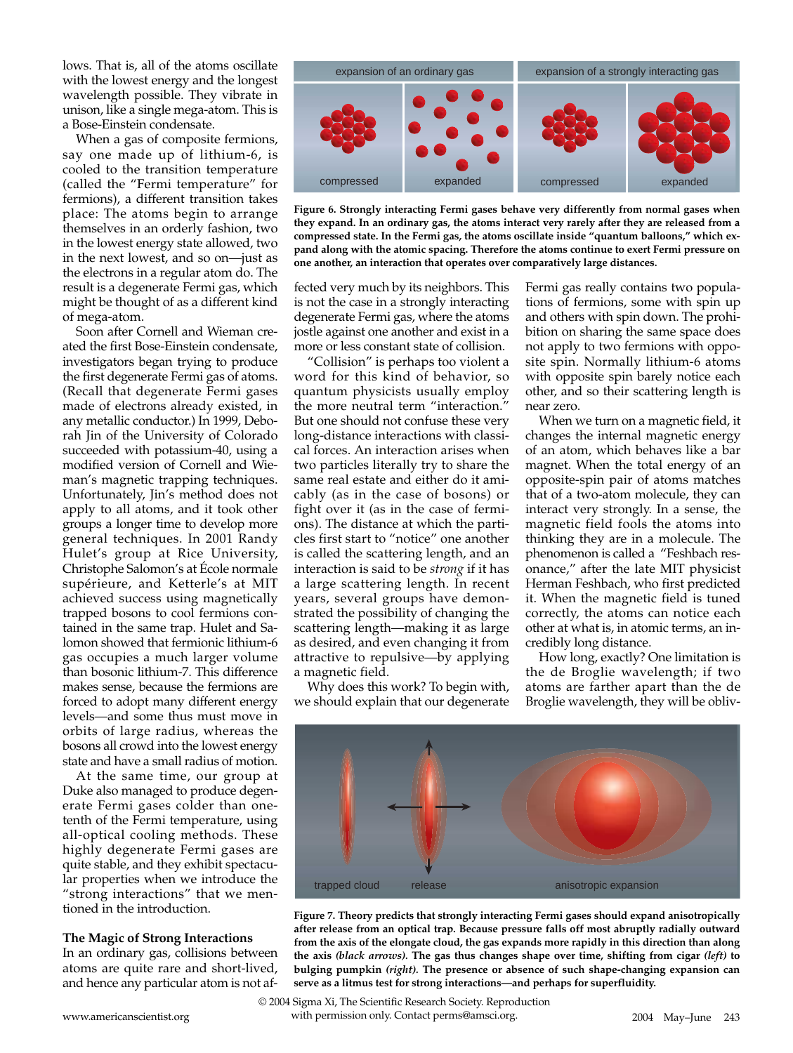lows. That is, all of the atoms oscillate with the lowest energy and the longest wavelength possible. They vibrate in unison, like a single mega-atom. This is a Bose-Einstein condensate.

When a gas of composite fermions, say one made up of lithium-6, is cooled to the transition temperature (called the "Fermi temperature" for fermions), a different transition takes place: The atoms begin to arrange themselves in an orderly fashion, two in the lowest energy state allowed, two in the next lowest, and so on—just as the electrons in a regular atom do. The result is a degenerate Fermi gas, which might be thought of as a different kind of mega-atom.

Soon after Cornell and Wieman created the first Bose-Einstein condensate, investigators began trying to produce the first degenerate Fermi gas of atoms. (Recall that degenerate Fermi gases made of electrons already existed, in any metallic conductor.) In 1999, Deborah Jin of the University of Colorado succeeded with potassium-40, using a modified version of Cornell and Wieman's magnetic trapping techniques. Unfortunately, Jin's method does not apply to all atoms, and it took other groups a longer time to develop more general techniques. In 2001 Randy Hulet's group at Rice University, Christophe Salomon's at École normale supérieure, and Ketterle's at MIT achieved success using magnetically trapped bosons to cool fermions contained in the same trap. Hulet and Salomon showed that fermionic lithium-6 gas occupies a much larger volume than bosonic lithium-7. This difference makes sense, because the fermions are forced to adopt many different energy levels—and some thus must move in orbits of large radius, whereas the bosons all crowd into the lowest energy state and have a small radius of motion.

At the same time, our group at Duke also managed to produce degenerate Fermi gases colder than onetenth of the Fermi temperature, using all-optical cooling methods. These highly degenerate Fermi gases are quite stable, and they exhibit spectacular properties when we introduce the "strong interactions" that we mentioned in the introduction.

#### **The Magic of Strong Interactions**

In an ordinary gas, collisions between atoms are quite rare and short-lived, and hence any particular atom is not af-



**Figure 6. Strongly interacting Fermi gases behave very differently from normal gases when they expand. In an ordinary gas, the atoms interact very rarely after they are released from a compressed state. In the Fermi gas, the atoms oscillate inside "quantum balloons," which expand along with the atomic spacing. Therefore the atoms continue to exert Fermi pressure on one another, an interaction that operates over comparatively large distances.**

fected very much by its neighbors. This is not the case in a strongly interacting degenerate Fermi gas, where the atoms jostle against one another and exist in a more or less constant state of collision.

"Collision" is perhaps too violent a word for this kind of behavior, so quantum physicists usually employ the more neutral term "interaction." But one should not confuse these very long-distance interactions with classical forces. An interaction arises when two particles literally try to share the same real estate and either do it amicably (as in the case of bosons) or fight over it (as in the case of fermions). The distance at which the particles first start to "notice" one another is called the scattering length, and an interaction is said to be *strong* if it has a large scattering length. In recent years, several groups have demonstrated the possibility of changing the scattering length—making it as large as desired, and even changing it from attractive to repulsive—by applying a magnetic field.

Why does this work? To begin with, we should explain that our degenerate Fermi gas really contains two populations of fermions, some with spin up and others with spin down. The prohibition on sharing the same space does not apply to two fermions with opposite spin. Normally lithium-6 atoms with opposite spin barely notice each other, and so their scattering length is near zero.

When we turn on a magnetic field, it changes the internal magnetic energy of an atom, which behaves like a bar magnet. When the total energy of an opposite-spin pair of atoms matches that of a two-atom molecule, they can interact very strongly. In a sense, the magnetic field fools the atoms into thinking they are in a molecule. The phenomenon is called a "Feshbach resonance," after the late MIT physicist Herman Feshbach, who first predicted it. When the magnetic field is tuned correctly, the atoms can notice each other at what is, in atomic terms, an incredibly long distance.

How long, exactly? One limitation is the de Broglie wavelength; if two atoms are farther apart than the de Broglie wavelength, they will be obliv-



**Figure 7. Theory predicts that strongly interacting Fermi gases should expand anisotropically after release from an optical trap. Because pressure falls off most abruptly radially outward from the axis of the elongate cloud, the gas expands more rapidly in this direction than along the axis** *(black arrows).* **The gas thus changes shape over time, shifting from cigar** *(left)* **to bulging pumpkin** *(right).* **The presence or absence of such shape-changing expansion can serve as a litmus test for strong interactions—and perhaps for superfluidity.**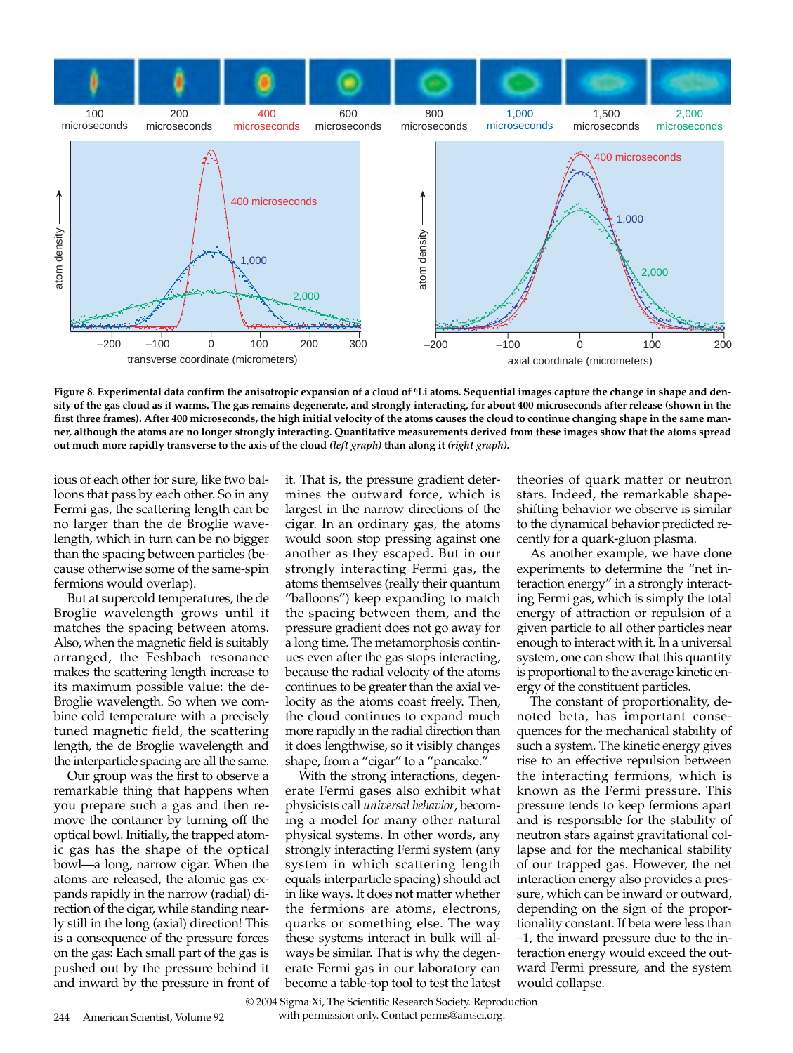

**Figure 8**. **Experimental data confirm the anisotropic expansion of a cloud of 6Li atoms. Sequential images capture the change in shape and density of the gas cloud as it warms. The gas remains degenerate, and strongly interacting, for about 400 microseconds after release (shown in the first three frames). After 400 microseconds, the high initial velocity of the atoms causes the cloud to continue changing shape in the same manner, although the atoms are no longer strongly interacting. Quantitative measurements derived from these images show that the atoms spread out much more rapidly transverse to the axis of the cloud** *(left graph)* **than along it** *(right graph).*

ious of each other for sure, like two balloons that pass by each other. So in any Fermi gas, the scattering length can be no larger than the de Broglie wavelength, which in turn can be no bigger than the spacing between particles (because otherwise some of the same-spin fermions would overlap).

But at supercold temperatures, the de Broglie wavelength grows until it matches the spacing between atoms. Also, when the magnetic field is suitably arranged, the Feshbach resonance makes the scattering length increase to its maximum possible value: the de-Broglie wavelength. So when we combine cold temperature with a precisely tuned magnetic field, the scattering length, the de Broglie wavelength and the interparticle spacing are all the same.

Our group was the first to observe a remarkable thing that happens when you prepare such a gas and then remove the container by turning off the optical bowl. Initially, the trapped atomic gas has the shape of the optical bowl—a long, narrow cigar. When the atoms are released, the atomic gas expands rapidly in the narrow (radial) direction of the cigar, while standing nearly still in the long (axial) direction! This is a consequence of the pressure forces on the gas: Each small part of the gas is pushed out by the pressure behind it and inward by the pressure in front of it. That is, the pressure gradient determines the outward force, which is largest in the narrow directions of the cigar. In an ordinary gas, the atoms would soon stop pressing against one another as they escaped. But in our strongly interacting Fermi gas, the atoms themselves (really their quantum "balloons") keep expanding to match the spacing between them, and the pressure gradient does not go away for a long time. The metamorphosis continues even after the gas stops interacting, because the radial velocity of the atoms continues to be greater than the axial velocity as the atoms coast freely. Then, the cloud continues to expand much more rapidly in the radial direction than it does lengthwise, so it visibly changes shape, from a "cigar" to a "pancake."

With the strong interactions, degenerate Fermi gases also exhibit what physicists call *universal behavior*, becoming a model for many other natural physical systems. In other words, any strongly interacting Fermi system (any system in which scattering length equals interparticle spacing) should act in like ways. It does not matter whether the fermions are atoms, electrons, quarks or something else. The way these systems interact in bulk will always be similar. That is why the degenerate Fermi gas in our laboratory can become a table-top tool to test the latest

theories of quark matter or neutron stars. Indeed, the remarkable shapeshifting behavior we observe is similar to the dynamical behavior predicted recently for a quark-gluon plasma.

As another example, we have done experiments to determine the "net interaction energy" in a strongly interacting Fermi gas, which is simply the total energy of attraction or repulsion of a given particle to all other particles near enough to interact with it. In a universal system, one can show that this quantity is proportional to the average kinetic energy of the constituent particles.

The constant of proportionality, denoted beta, has important consequences for the mechanical stability of such a system. The kinetic energy gives rise to an effective repulsion between the interacting fermions, which is known as the Fermi pressure. This pressure tends to keep fermions apart and is responsible for the stability of neutron stars against gravitational collapse and for the mechanical stability of our trapped gas. However, the net interaction energy also provides a pressure, which can be inward or outward, depending on the sign of the proportionality constant. If beta were less than –1, the inward pressure due to the interaction energy would exceed the outward Fermi pressure, and the system would collapse.

© 2004 Sigma Xi, The Scientific Research Society. Reproduction with permission only. Contact perms@amsci.org.